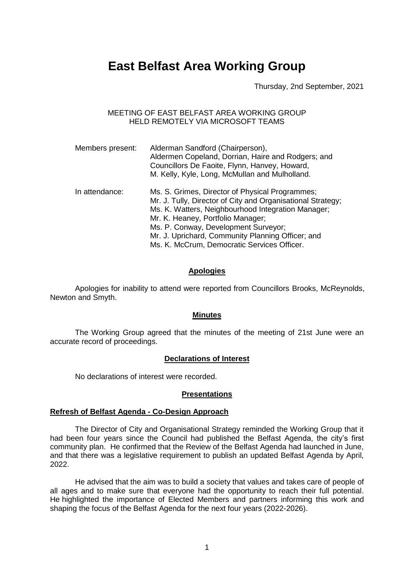# **East Belfast Area Working Group**

Thursday, 2nd September, 2021

MEETING OF EAST BELFAST AREA WORKING GROUP HELD REMOTELY VIA MICROSOFT TEAMS

| Members present: | Alderman Sandford (Chairperson),<br>Aldermen Copeland, Dorrian, Haire and Rodgers; and<br>Councillors De Faoite, Flynn, Hanvey, Howard,<br>M. Kelly, Kyle, Long, McMullan and Mulholland.                                                                                                                                                             |
|------------------|-------------------------------------------------------------------------------------------------------------------------------------------------------------------------------------------------------------------------------------------------------------------------------------------------------------------------------------------------------|
| In attendance:   | Ms. S. Grimes, Director of Physical Programmes;<br>Mr. J. Tully, Director of City and Organisational Strategy;<br>Ms. K. Watters, Neighbourhood Integration Manager;<br>Mr. K. Heaney, Portfolio Manager;<br>Ms. P. Conway, Development Surveyor;<br>Mr. J. Uprichard, Community Planning Officer; and<br>Ms. K. McCrum, Democratic Services Officer. |

## **Apologies**

Apologies for inability to attend were reported from Councillors Brooks, McReynolds, Newton and Smyth.

#### **Minutes**

The Working Group agreed that the minutes of the meeting of 21st June were an accurate record of proceedings.

#### **Declarations of Interest**

No declarations of interest were recorded.

#### **Presentations**

#### **Refresh of Belfast Agenda - Co-Design Approach**

The Director of City and Organisational Strategy reminded the Working Group that it had been four years since the Council had published the Belfast Agenda, the city's first community plan. He confirmed that the Review of the Belfast Agenda had launched in June, and that there was a legislative requirement to publish an updated Belfast Agenda by April, 2022.

He advised that the aim was to build a society that values and takes care of people of all ages and to make sure that everyone had the opportunity to reach their full potential. He highlighted the importance of Elected Members and partners informing this work and shaping the focus of the Belfast Agenda for the next four years (2022-2026).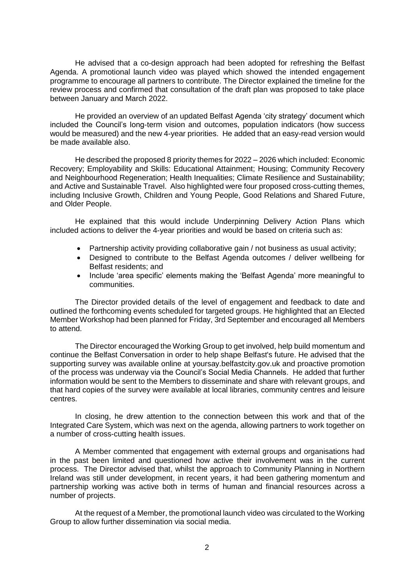He advised that a co-design approach had been adopted for refreshing the Belfast Agenda. A promotional launch video was played which showed the intended engagement programme to encourage all partners to contribute. The Director explained the timeline for the review process and confirmed that consultation of the draft plan was proposed to take place between January and March 2022.

He provided an overview of an updated Belfast Agenda 'city strategy' document which included the Council's long-term vision and outcomes, population indicators (how success would be measured) and the new 4-year priorities. He added that an easy-read version would be made available also.

He described the proposed 8 priority themes for 2022 – 2026 which included: Economic Recovery; Employability and Skills: Educational Attainment; Housing; Community Recovery and Neighbourhood Regeneration; Health Inequalities; Climate Resilience and Sustainability; and Active and Sustainable Travel. Also highlighted were four proposed cross-cutting themes, including Inclusive Growth, Children and Young People, Good Relations and Shared Future, and Older People.

He explained that this would include Underpinning Delivery Action Plans which included actions to deliver the 4-year priorities and would be based on criteria such as:

- Partnership activity providing collaborative gain / not business as usual activity;
- Designed to contribute to the Belfast Agenda outcomes / deliver wellbeing for Belfast residents; and
- Include 'area specific' elements making the 'Belfast Agenda' more meaningful to communities.

The Director provided details of the level of engagement and feedback to date and outlined the forthcoming events scheduled for targeted groups. He highlighted that an Elected Member Workshop had been planned for Friday, 3rd September and encouraged all Members to attend.

The Director encouraged the Working Group to get involved, help build momentum and continue the Belfast Conversation in order to help shape Belfast's future. He advised that the supporting survey was available online at yoursay.belfastcity.gov.uk and proactive promotion of the process was underway via the Council's Social Media Channels. He added that further information would be sent to the Members to disseminate and share with relevant groups, and that hard copies of the survey were available at local libraries, community centres and leisure centres.

In closing, he drew attention to the connection between this work and that of the Integrated Care System, which was next on the agenda, allowing partners to work together on a number of cross-cutting health issues.

A Member commented that engagement with external groups and organisations had in the past been limited and questioned how active their involvement was in the current process. The Director advised that, whilst the approach to Community Planning in Northern Ireland was still under development, in recent years, it had been gathering momentum and partnership working was active both in terms of human and financial resources across a number of projects.

At the request of a Member, the promotional launch video was circulated to the Working Group to allow further dissemination via social media.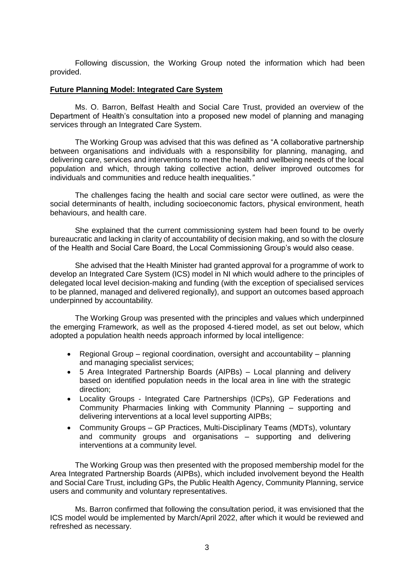Following discussion, the Working Group noted the information which had been provided.

#### **Future Planning Model: Integrated Care System**

Ms. O. Barron, Belfast Health and Social Care Trust, provided an overview of the Department of Health's consultation into a proposed new model of planning and managing services through an Integrated Care System.

The Working Group was advised that this was defined as "A collaborative partnership between organisations and individuals with a responsibility for planning, managing, and delivering care, services and interventions to meet the health and wellbeing needs of the local population and which, through taking collective action, deliver improved outcomes for individuals and communities and reduce health inequalities.*"*

The challenges facing the health and social care sector were outlined, as were the social determinants of health, including socioeconomic factors, physical environment, heath behaviours, and health care.

She explained that the current commissioning system had been found to be overly bureaucratic and lacking in clarity of accountability of decision making, and so with the closure of the Health and Social Care Board, the Local Commissioning Group's would also cease.

She advised that the Health Minister had granted approval for a programme of work to develop an Integrated Care System (ICS) model in NI which would adhere to the principles of delegated local level decision-making and funding (with the exception of specialised services to be planned, managed and delivered regionally), and support an outcomes based approach underpinned by accountability*.*

The Working Group was presented with the principles and values which underpinned the emerging Framework, as well as the proposed 4-tiered model, as set out below, which adopted a population health needs approach informed by local intelligence:

- Regional Group regional coordination, oversight and accountability planning and managing specialist services;
- 5 Area Integrated Partnership Boards (AIPBs) Local planning and delivery based on identified population needs in the local area in line with the strategic direction;
- Locality Groups Integrated Care Partnerships (ICPs), GP Federations and Community Pharmacies linking with Community Planning – supporting and delivering interventions at a local level supporting AIPBs;
- Community Groups GP Practices, Multi-Disciplinary Teams (MDTs), voluntary and community groups and organisations – supporting and delivering interventions at a community level.

The Working Group was then presented with the proposed membership model for the Area Integrated Partnership Boards (AIPBs), which included involvement beyond the Health and Social Care Trust, including GPs, the Public Health Agency, Community Planning, service users and community and voluntary representatives.

Ms. Barron confirmed that following the consultation period, it was envisioned that the ICS model would be implemented by March/April 2022, after which it would be reviewed and refreshed as necessary.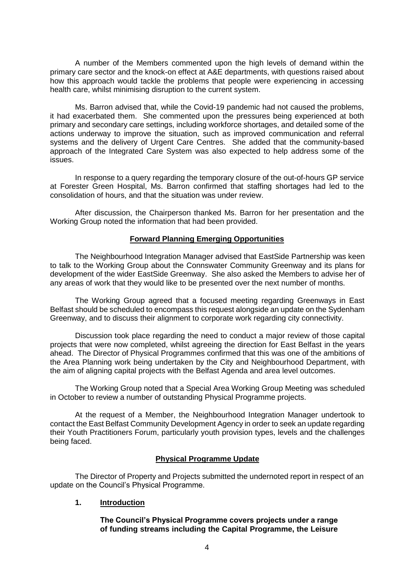A number of the Members commented upon the high levels of demand within the primary care sector and the knock-on effect at A&E departments, with questions raised about how this approach would tackle the problems that people were experiencing in accessing health care, whilst minimising disruption to the current system.

Ms. Barron advised that, while the Covid-19 pandemic had not caused the problems, it had exacerbated them. She commented upon the pressures being experienced at both primary and secondary care settings, including workforce shortages, and detailed some of the actions underway to improve the situation, such as improved communication and referral systems and the delivery of Urgent Care Centres. She added that the community-based approach of the Integrated Care System was also expected to help address some of the issues.

In response to a query regarding the temporary closure of the out-of-hours GP service at Forester Green Hospital, Ms. Barron confirmed that staffing shortages had led to the consolidation of hours, and that the situation was under review.

After discussion, the Chairperson thanked Ms. Barron for her presentation and the Working Group noted the information that had been provided.

## **Forward Planning Emerging Opportunities**

The Neighbourhood Integration Manager advised that EastSide Partnership was keen to talk to the Working Group about the Connswater Community Greenway and its plans for development of the wider EastSide Greenway. She also asked the Members to advise her of any areas of work that they would like to be presented over the next number of months.

The Working Group agreed that a focused meeting regarding Greenways in East Belfast should be scheduled to encompass this request alongside an update on the Sydenham Greenway, and to discuss their alignment to corporate work regarding city connectivity.

Discussion took place regarding the need to conduct a major review of those capital projects that were now completed, whilst agreeing the direction for East Belfast in the years ahead. The Director of Physical Programmes confirmed that this was one of the ambitions of the Area Planning work being undertaken by the City and Neighbourhood Department, with the aim of aligning capital projects with the Belfast Agenda and area level outcomes.

The Working Group noted that a Special Area Working Group Meeting was scheduled in October to review a number of outstanding Physical Programme projects.

At the request of a Member, the Neighbourhood Integration Manager undertook to contact the East Belfast Community Development Agency in order to seek an update regarding their Youth Practitioners Forum, particularly youth provision types, levels and the challenges being faced.

## **Physical Programme Update**

The Director of Property and Projects submitted the undernoted report in respect of an update on the Council's Physical Programme.

## **1. Introduction**

## **The Council's Physical Programme covers projects under a range of funding streams including the Capital Programme, the Leisure**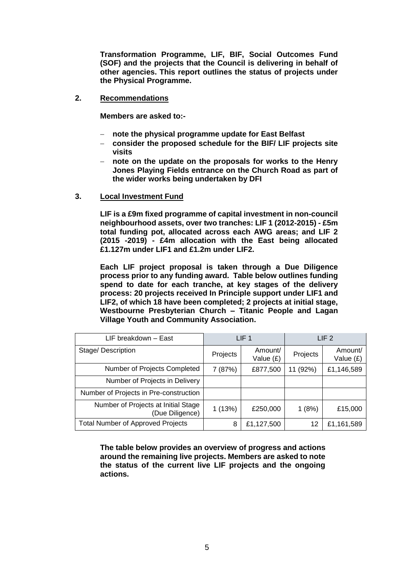**Transformation Programme, LIF, BIF, Social Outcomes Fund (SOF) and the projects that the Council is delivering in behalf of other agencies. This report outlines the status of projects under the Physical Programme.** 

**2. Recommendations**

**Members are asked to:-**

- **note the physical programme update for East Belfast**
- **consider the proposed schedule for the BIF/ LIF projects site visits**
- **note on the update on the proposals for works to the Henry Jones Playing Fields entrance on the Church Road as part of the wider works being undertaken by DFI**
- **3. Local Investment Fund**

**LIF is a £9m fixed programme of capital investment in non-council neighbourhood assets, over two tranches: LIF 1 (2012-2015) - £5m total funding pot, allocated across each AWG areas; and LIF 2 (2015 -2019) - £4m allocation with the East being allocated £1.127m under LIF1 and £1.2m under LIF2.** 

**Each LIF project proposal is taken through a Due Diligence process prior to any funding award. Table below outlines funding spend to date for each tranche, at key stages of the delivery process: 20 projects received In Principle support under LIF1 and LIF2, of which 18 have been completed; 2 projects at initial stage, Westbourne Presbyterian Church – Titanic People and Lagan Village Youth and Community Association.** 

| LIF breakdown - East                                   | LIF <sub>1</sub> |                        | LIF <sub>2</sub> |                      |
|--------------------------------------------------------|------------------|------------------------|------------------|----------------------|
| Stage/Description                                      | Projects         | Amount/<br>Value $(E)$ | Projects         | Amount/<br>Value (£) |
| Number of Projects Completed                           | 7 (87%)          | £877,500               | 11 (92%)         | £1,146,589           |
| Number of Projects in Delivery                         |                  |                        |                  |                      |
| Number of Projects in Pre-construction                 |                  |                        |                  |                      |
| Number of Projects at Initial Stage<br>(Due Diligence) | 1(13%)           | £250,000               | 1(8%)            | £15,000              |
| <b>Total Number of Approved Projects</b>               | 8                | £1,127,500             | 12               | £1,161,589           |

**The table below provides an overview of progress and actions around the remaining live projects. Members are asked to note the status of the current live LIF projects and the ongoing actions.**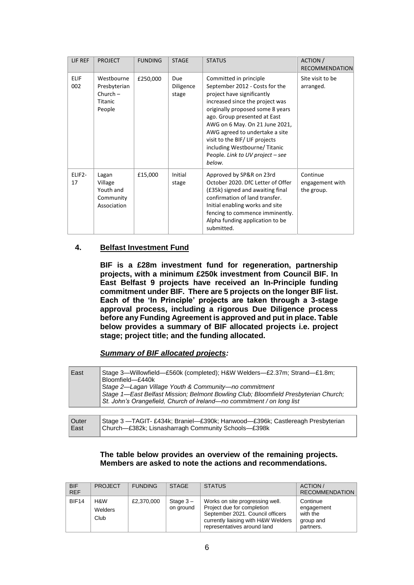| LIF REF            | <b>PROJECT</b>                                                | <b>FUNDING</b> | <b>STAGE</b>                     | <b>STATUS</b>                                                                                                                                                                                                                                                                                                                                                                    | ACTION /<br><b>RECOMMENDATION</b>         |
|--------------------|---------------------------------------------------------------|----------------|----------------------------------|----------------------------------------------------------------------------------------------------------------------------------------------------------------------------------------------------------------------------------------------------------------------------------------------------------------------------------------------------------------------------------|-------------------------------------------|
| <b>ELIF</b><br>002 | Westbourne<br>Presbyterian<br>$Church -$<br>Titanic<br>People | £250,000       | <b>Due</b><br>Diligence<br>stage | Committed in principle<br>September 2012 - Costs for the<br>project have significantly<br>increased since the project was<br>originally proposed some 8 years<br>ago. Group presented at East<br>AWG on 6 May. On 21 June 2021,<br>AWG agreed to undertake a site<br>visit to the BIF/LIF projects<br>including Westbourne/Titanic<br>People. Link to UV project - see<br>below. | Site visit to be<br>arranged.             |
| ELIF2-<br>17       | Lagan<br>Village<br>Youth and<br>Community<br>Association     | £15,000        | Initial<br>stage                 | Approved by SP&R on 23rd<br>October 2020. DfC Letter of Offer<br>(£35k) signed and awaiting final<br>confirmation of land transfer.<br>Initial enabling works and site<br>fencing to commence imminently.<br>Alpha funding application to be<br>submitted.                                                                                                                       | Continue<br>engagement with<br>the group. |

## **4. Belfast Investment Fund**

East

**BIF is a £28m investment fund for regeneration, partnership projects, with a minimum £250k investment from Council BIF. In East Belfast 9 projects have received an In-Principle funding commitment under BIF. There are 5 projects on the longer BIF list. Each of the 'In Principle' projects are taken through a 3-stage approval process, including a rigorous Due Diligence process before any Funding Agreement is approved and put in place. Table below provides a summary of BIF allocated projects i.e. project stage; project title; and the funding allocated.**

*Summary of BIF allocated projects:*

| East          | Stage 3—Willowfield—£560k (completed); H&W Welders—£2.37m; Strand—£1.8m;<br>Bloomfield-£440k<br>Stage 2—Lagan Village Youth & Community—no commitment<br>Stage 1—East Belfast Mission; Belmont Bowling Club; Bloomfield Presbyterian Church;<br>St. John's Orangefield, Church of Ireland—no commitment / on long list |
|---------------|------------------------------------------------------------------------------------------------------------------------------------------------------------------------------------------------------------------------------------------------------------------------------------------------------------------------|
|               |                                                                                                                                                                                                                                                                                                                        |
| Outer<br>East | Stage 3 - TAGIT- £434k; Braniel- £390k; Hanwood- £396k; Castlereagh Presbyterian<br>Church-£382k; Lisnasharragh Community Schools-£398k                                                                                                                                                                                |

## **The table below provides an overview of the remaining projects. Members are asked to note the actions and recommendations.**

| <b>BIF</b><br><b>REF</b> | <b>PROJECT</b>         | <b>FUNDING</b> | <b>STAGE</b>             | <b>STATUS</b>                                                                                                                                                           | ACTION /<br><b>RECOMMENDATION</b>                            |
|--------------------------|------------------------|----------------|--------------------------|-------------------------------------------------------------------------------------------------------------------------------------------------------------------------|--------------------------------------------------------------|
| BIF14                    | H&W<br>Welders<br>Club | £2,370,000     | Stage $3 -$<br>on ground | Works on site progressing well.<br>Project due for completion<br>September 2021. Council officers<br>currently liaising with H&W Welders<br>representatives around land | Continue<br>engagement<br>with the<br>group and<br>partners. |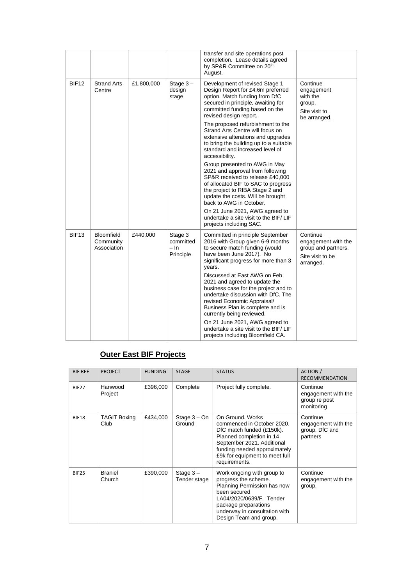|                   |                                               |            |                                           | transfer and site operations post<br>completion. Lease details agreed<br>by SP&R Committee on 20th<br>August.                                                                                                                                                                                                                                                                                                                                                                                                                                       |                                                                                         |
|-------------------|-----------------------------------------------|------------|-------------------------------------------|-----------------------------------------------------------------------------------------------------------------------------------------------------------------------------------------------------------------------------------------------------------------------------------------------------------------------------------------------------------------------------------------------------------------------------------------------------------------------------------------------------------------------------------------------------|-----------------------------------------------------------------------------------------|
| <b>BIF12</b>      | <b>Strand Arts</b><br>Centre                  | £1,800,000 | Stage $3 -$<br>design<br>stage            | Development of revised Stage 1<br>Design Report for £4.6m preferred<br>option. Match funding from DfC<br>secured in principle, awaiting for<br>committed funding based on the<br>revised design report.<br>The proposed refurbishment to the<br>Strand Arts Centre will focus on<br>extensive alterations and upgrades<br>to bring the building up to a suitable<br>standard and increased level of<br>accessibility.<br>Group presented to AWG in May                                                                                              | Continue<br>engagement<br>with the<br>group.<br>Site visit to<br>be arranged.           |
|                   |                                               |            |                                           | 2021 and approval from following<br>SP&R received to release £40,000<br>of allocated BIF to SAC to progress<br>the project to RIBA Stage 2 and<br>update the costs. Will be brought<br>back to AWG in October.<br>On 21 June 2021, AWG agreed to<br>undertake a site visit to the BIF/LIF<br>projects including SAC.                                                                                                                                                                                                                                |                                                                                         |
| BIF <sub>13</sub> | <b>Bloomfield</b><br>Community<br>Association | £440,000   | Stage 3<br>committed<br>– In<br>Principle | Committed in principle September<br>2016 with Group given 6-9 months<br>to secure match funding (would<br>have been June 2017). No<br>significant progress for more than 3<br>years.<br>Discussed at East AWG on Feb<br>2021 and agreed to update the<br>business case for the project and to<br>undertake discussion with DfC. The<br>revised Economic Appraisal/<br>Business Plan is complete and is<br>currently being reviewed.<br>On 21 June 2021, AWG agreed to<br>undertake a site visit to the BIF/LIF<br>projects including Bloomfield CA. | Continue<br>engagement with the<br>group and partners.<br>Site visit to be<br>arranged. |

# **Outer East BIF Projects**

| <b>BIF REF</b> | <b>PROJECT</b>              | <b>FUNDING</b> | <b>STAGE</b>                | <b>STATUS</b>                                                                                                                                                                                                            | <b>ACTION</b> /<br><b>RECOMMENDATION</b>                       |
|----------------|-----------------------------|----------------|-----------------------------|--------------------------------------------------------------------------------------------------------------------------------------------------------------------------------------------------------------------------|----------------------------------------------------------------|
| <b>BIF27</b>   | Hanwood<br>Project          | £396,000       | Complete                    | Project fully complete.                                                                                                                                                                                                  | Continue<br>engagement with the<br>group re post<br>monitoring |
| <b>BIF18</b>   | <b>TAGIT Boxing</b><br>Club | £434,000       | Stage $3 - On$<br>Ground    | On Ground, Works<br>commenced in October 2020.<br>DfC match funded (£150k).<br>Planned completion in 14<br>September 2021. Additional<br>funding needed approximately<br>£9k for equipment to meet full<br>requirements. | Continue<br>engagement with the<br>group, DfC and<br>partners  |
| BIF25          | <b>Braniel</b><br>Church    | £390,000       | Stage $3 -$<br>Tender stage | Work ongoing with group to<br>progress the scheme.<br>Planning Permission has now<br>been secured<br>LA04/2020/0639/F. Tender<br>package preparations<br>underway in consultation with<br>Design Team and group.         | Continue<br>engagement with the<br>group.                      |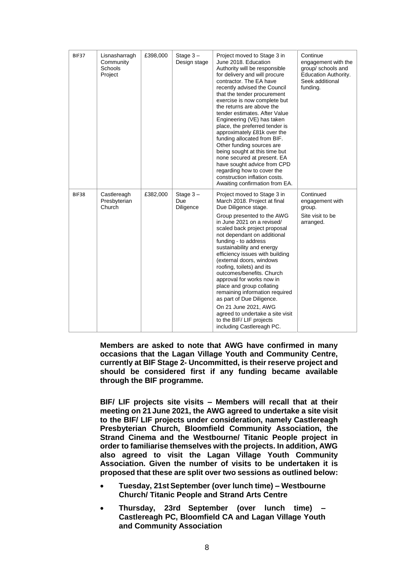| BIF37        | Lisnasharragh<br>Community<br>Schools<br>Project | £398,000 | Stage $3 -$<br>Design stage     | Project moved to Stage 3 in<br>June 2018. Education<br>Authority will be responsible<br>for delivery and will procure<br>contractor. The EA have<br>recently advised the Council<br>that the tender procurement<br>exercise is now complete but<br>the returns are above the<br>tender estimates. After Value<br>Engineering (VE) has taken<br>place, the preferred tender is<br>approximately £81k over the<br>funding allocated from BIF.<br>Other funding sources are<br>being sought at this time but<br>none secured at present. EA<br>have sought advice from CPD<br>regarding how to cover the<br>construction inflation costs.<br>Awaiting confirmation from EA. | Continue<br>engagement with the<br>group/ schools and<br>Education Authority.<br>Seek additional<br>funding. |
|--------------|--------------------------------------------------|----------|---------------------------------|--------------------------------------------------------------------------------------------------------------------------------------------------------------------------------------------------------------------------------------------------------------------------------------------------------------------------------------------------------------------------------------------------------------------------------------------------------------------------------------------------------------------------------------------------------------------------------------------------------------------------------------------------------------------------|--------------------------------------------------------------------------------------------------------------|
| <b>BIF38</b> | Castlereagh<br>Presbyterian<br>Church            | £382,000 | Stage $3 -$<br>Due<br>Diligence | Project moved to Stage 3 in<br>March 2018. Project at final<br>Due Diligence stage.<br>Group presented to the AWG<br>in June 2021 on a revised/<br>scaled back project proposal<br>not dependant on additional<br>funding - to address<br>sustainability and energy<br>efficiency issues with building<br>(external doors, windows<br>roofing, toilets) and its<br>outcomes/benefits, Church<br>approval for works now in<br>place and group collating<br>remaining information required<br>as part of Due Diligence.<br>On 21 June 2021, AWG<br>agreed to undertake a site visit<br>to the BIF/LIF projects<br>including Castlereagh PC.                                | Continued<br>engagement with<br>group.<br>Site visit to be<br>arranged.                                      |

**Members are asked to note that AWG have confirmed in many occasions that the Lagan Village Youth and Community Centre, currently at BIF Stage 2- Uncommitted, is their reserve project and should be considered first if any funding became available through the BIF programme.** 

**BIF/ LIF projects site visits – Members will recall that at their meeting on 21 June 2021, the AWG agreed to undertake a site visit to the BIF/ LIF projects under consideration, namely Castlereagh Presbyterian Church, Bloomfield Community Association, the Strand Cinema and the Westbourne/ Titanic People project in order to familiarise themselves with the projects. In addition, AWG also agreed to visit the Lagan Village Youth Community Association. Given the number of visits to be undertaken it is proposed that these are split over two sessions as outlined below:**

- **Tuesday, 21st September (over lunch time) – Westbourne Church/ Titanic People and Strand Arts Centre**
- **Thursday, 23rd September (over lunch time) – Castlereagh PC, Bloomfield CA and Lagan Village Youth and Community Association**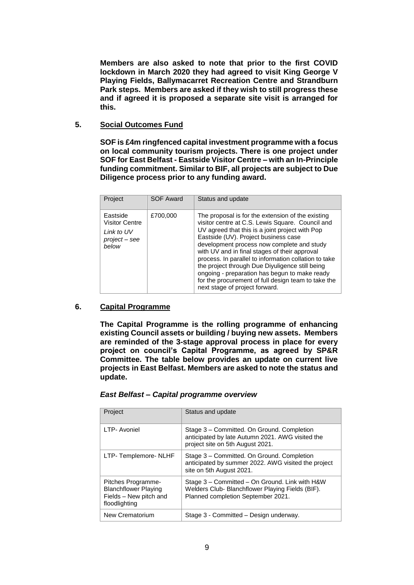**Members are also asked to note that prior to the first COVID lockdown in March 2020 they had agreed to visit King George V Playing Fields, Ballymacarret Recreation Centre and Strandburn Park steps. Members are asked if they wish to still progress these and if agreed it is proposed a separate site visit is arranged for this.** 

## **5. Social Outcomes Fund**

**SOF is £4m ringfenced capital investment programme with a focus on local community tourism projects. There is one project under SOF for East Belfast - Eastside Visitor Centre – with an In-Principle funding commitment. Similar to BIF, all projects are subject to Due Diligence process prior to any funding award.** 

| Project                                                                   | <b>SOF Award</b> | Status and update                                                                                                                                                                                                                                                                                                                                                                                                                                                                                                                                     |
|---------------------------------------------------------------------------|------------------|-------------------------------------------------------------------------------------------------------------------------------------------------------------------------------------------------------------------------------------------------------------------------------------------------------------------------------------------------------------------------------------------------------------------------------------------------------------------------------------------------------------------------------------------------------|
| Eastside<br><b>Visitor Centre</b><br>Link to UV<br>project - see<br>helow | £700,000         | The proposal is for the extension of the existing<br>visitor centre at C.S. Lewis Square. Council and<br>UV agreed that this is a joint project with Pop<br>Eastside (UV). Project business case<br>development process now complete and study<br>with UV and in final stages of their approval<br>process. In parallel to information collation to take<br>the project through Due Diyuligence still being<br>ongoing - preparation has begun to make ready<br>for the procurement of full design team to take the<br>next stage of project forward. |

#### **6. Capital Programme**

**The Capital Programme is the rolling programme of enhancing existing Council assets or building / buying new assets. Members are reminded of the 3-stage approval process in place for every project on council's Capital Programme, as agreed by SP&R Committee. The table below provides an update on current live projects in East Belfast. Members are asked to note the status and update.**

| Project                                                                                      | Status and update                                                                                                                        |
|----------------------------------------------------------------------------------------------|------------------------------------------------------------------------------------------------------------------------------------------|
| LTP- Avoniel                                                                                 | Stage 3 – Committed. On Ground. Completion<br>anticipated by late Autumn 2021. AWG visited the<br>project site on 5th August 2021.       |
| LTP-Templemore-NLHF                                                                          | Stage 3 – Committed. On Ground. Completion<br>anticipated by summer 2022. AWG visited the project<br>site on 5th August 2021.            |
| Pitches Programme-<br><b>Blanchflower Playing</b><br>Fields - New pitch and<br>floodlighting | Stage 3 - Committed - On Ground. Link with H&W<br>Welders Club- Blanchflower Playing Fields (BIF).<br>Planned completion September 2021. |
| New Crematorium                                                                              | Stage 3 - Committed - Design underway.                                                                                                   |

#### *East Belfast – Capital programme overview*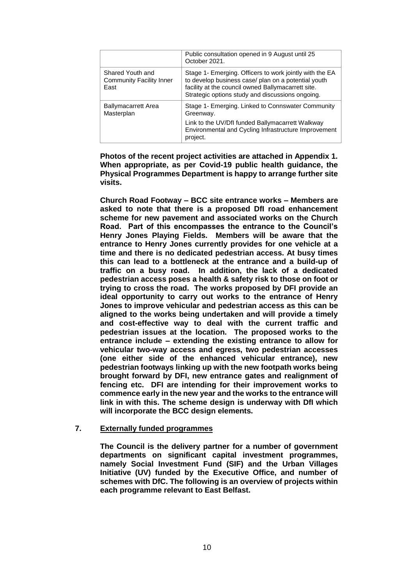|                                                             | Public consultation opened in 9 August until 25<br>October 2021.                                                                                                                                                         |
|-------------------------------------------------------------|--------------------------------------------------------------------------------------------------------------------------------------------------------------------------------------------------------------------------|
| Shared Youth and<br><b>Community Facility Inner</b><br>East | Stage 1- Emerging. Officers to work jointly with the EA<br>to develop business case/ plan on a potential youth<br>facility at the council owned Ballymacarrett site.<br>Strategic options study and discussions ongoing. |
| <b>Ballymacarrett Area</b><br>Masterplan                    | Stage 1- Emerging. Linked to Connswater Community<br>Greenway.<br>Link to the UV/DfI funded Ballymacarrett Walkway<br>Environmental and Cycling Infrastructure Improvement<br>project.                                   |

**Photos of the recent project activities are attached in Appendix 1. When appropriate, as per Covid-19 public health guidance, the Physical Programmes Department is happy to arrange further site visits.**

**Church Road Footway – BCC site entrance works – Members are asked to note that there is a proposed DfI road enhancement scheme for new pavement and associated works on the Church Road. Part of this encompasses the entrance to the Council's Henry Jones Playing Fields. Members will be aware that the entrance to Henry Jones currently provides for one vehicle at a time and there is no dedicated pedestrian access. At busy times this can lead to a bottleneck at the entrance and a build-up of traffic on a busy road. In addition, the lack of a dedicated pedestrian access poses a health & safety risk to those on foot or trying to cross the road. The works proposed by DFI provide an ideal opportunity to carry out works to the entrance of Henry Jones to improve vehicular and pedestrian access as this can be aligned to the works being undertaken and will provide a timely and cost-effective way to deal with the current traffic and pedestrian issues at the location. The proposed works to the entrance include – extending the existing entrance to allow for vehicular two-way access and egress, two pedestrian accesses (one either side of the enhanced vehicular entrance), new pedestrian footways linking up with the new footpath works being brought forward by DFI, new entrance gates and realignment of fencing etc. DFI are intending for their improvement works to commence early in the new year and the works to the entrance will link in with this. The scheme design is underway with DfI which will incorporate the BCC design elements.**

#### **7. Externally funded programmes**

**The Council is the delivery partner for a number of government departments on significant capital investment programmes, namely Social Investment Fund (SIF) and the Urban Villages Initiative (UV) funded by the Executive Office, and number of schemes with DfC. The following is an overview of projects within each programme relevant to East Belfast.**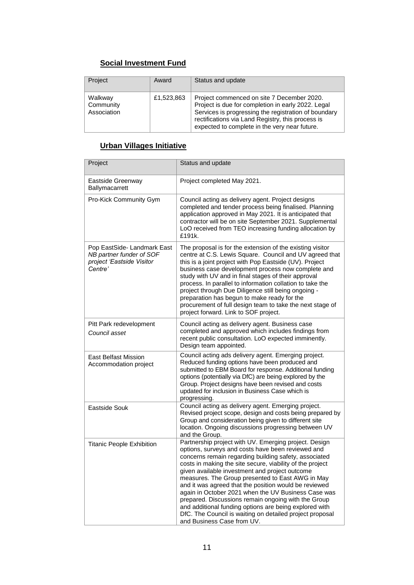## **Social Investment Fund**

| Project                             | Award      | Status and update                                                                                                                                                                                                                                              |
|-------------------------------------|------------|----------------------------------------------------------------------------------------------------------------------------------------------------------------------------------------------------------------------------------------------------------------|
| Walkway<br>Community<br>Association | £1,523,863 | Project commenced on site 7 December 2020.<br>Project is due for completion in early 2022. Legal<br>Services is progressing the registration of boundary<br>rectifications via Land Registry, this process is<br>expected to complete in the very near future. |

# **Urban Villages Initiative**

| Project                                                                                         | Status and update                                                                                                                                                                                                                                                                                                                                                                                                                                                                                                                                                                                                                                                 |
|-------------------------------------------------------------------------------------------------|-------------------------------------------------------------------------------------------------------------------------------------------------------------------------------------------------------------------------------------------------------------------------------------------------------------------------------------------------------------------------------------------------------------------------------------------------------------------------------------------------------------------------------------------------------------------------------------------------------------------------------------------------------------------|
| Eastside Greenway<br>Ballymacarrett                                                             | Project completed May 2021.                                                                                                                                                                                                                                                                                                                                                                                                                                                                                                                                                                                                                                       |
| Pro-Kick Community Gym                                                                          | Council acting as delivery agent. Project designs<br>completed and tender process being finalised. Planning<br>application approved in May 2021. It is anticipated that<br>contractor will be on site September 2021. Supplemental<br>LoO received from TEO increasing funding allocation by<br>£191k.                                                                                                                                                                                                                                                                                                                                                            |
| Pop EastSide- Landmark East<br>NB partner funder of SOF<br>project 'Eastside Visitor<br>Centre' | The proposal is for the extension of the existing visitor<br>centre at C.S. Lewis Square. Council and UV agreed that<br>this is a joint project with Pop Eastside (UV). Project<br>business case development process now complete and<br>study with UV and in final stages of their approval<br>process. In parallel to information collation to take the<br>project through Due Diligence still being ongoing -<br>preparation has begun to make ready for the<br>procurement of full design team to take the next stage of<br>project forward. Link to SOF project.                                                                                             |
| Pitt Park redevelopment<br>Council asset                                                        | Council acting as delivery agent. Business case<br>completed and approved which includes findings from<br>recent public consultation. LoO expected imminently.<br>Design team appointed.                                                                                                                                                                                                                                                                                                                                                                                                                                                                          |
| <b>East Belfast Mission</b><br>Accommodation project                                            | Council acting ads delivery agent. Emerging project.<br>Reduced funding options have been produced and<br>submitted to EBM Board for response. Additional funding<br>options (potentially via DfC) are being explored by the<br>Group. Project designs have been revised and costs<br>updated for inclusion in Business Case which is<br>progressing.                                                                                                                                                                                                                                                                                                             |
| Eastside Souk                                                                                   | Council acting as delivery agent. Emerging project.<br>Revised project scope, design and costs being prepared by<br>Group and consideration being given to different site<br>location. Ongoing discussions progressing between UV<br>and the Group.                                                                                                                                                                                                                                                                                                                                                                                                               |
| <b>Titanic People Exhibition</b>                                                                | Partnership project with UV. Emerging project. Design<br>options, surveys and costs have been reviewed and<br>concerns remain regarding building safety, associated<br>costs in making the site secure, viability of the project<br>given available investment and project outcome<br>measures. The Group presented to East AWG in May<br>and it was agreed that the position would be reviewed<br>again in October 2021 when the UV Business Case was<br>prepared. Discussions remain ongoing with the Group<br>and additional funding options are being explored with<br>DfC. The Council is waiting on detailed project proposal<br>and Business Case from UV. |